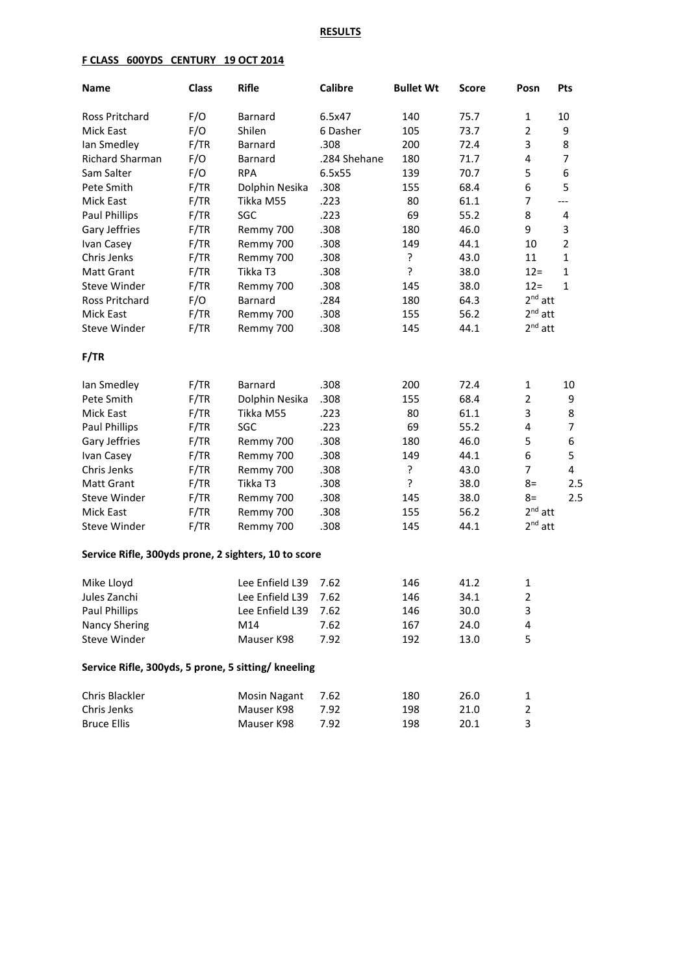## **RESULTS**

## **F CLASS 600YDS CENTURY 19 OCT 2014**

| <b>Name</b>                                          | <b>Class</b> | <b>Rifle</b>         | <b>Calibre</b> | <b>Bullet Wt</b> | <b>Score</b> | Posn           | Pts            |
|------------------------------------------------------|--------------|----------------------|----------------|------------------|--------------|----------------|----------------|
| Ross Pritchard                                       | F/O          | Barnard              | 6.5x47         | 140              | 75.7         | 1              | 10             |
| Mick East                                            | F/O          | Shilen               | 6 Dasher       | 105              | 73.7         | $\overline{2}$ | 9              |
| lan Smedley                                          | F/TR         | Barnard              | .308           | 200              | 72.4         | 3              | 8              |
| Richard Sharman                                      | F/O          | Barnard              | .284 Shehane   | 180              | 71.7         | 4              | $\overline{7}$ |
| Sam Salter                                           | F/O          | <b>RPA</b>           | 6.5x55         | 139              | 70.7         | 5              | 6              |
| Pete Smith                                           | F/TR         | Dolphin Nesika       | .308           | 155              | 68.4         | 6              | 5              |
| Mick East                                            | F/TR         | Tikka M55            | .223           | 80               | 61.1         | $\overline{7}$ | $---$          |
| Paul Phillips                                        | F/TR         | SGC                  | .223           | 69               | 55.2         | 8              | 4              |
| Gary Jeffries                                        | F/TR         | Remmy 700            | .308           | 180              | 46.0         | 9              | 3              |
| Ivan Casey                                           | F/TR         | Remmy 700            | .308           | 149              | 44.1         | 10             | $\overline{2}$ |
| Chris Jenks                                          | F/TR         | Remmy 700            | .308           | ?                | 43.0         | 11             | $\mathbf{1}$   |
| <b>Matt Grant</b>                                    | F/TR         | Tikka T3             | .308           | ŗ                | 38.0         | $12 =$         | $\mathbf{1}$   |
| Steve Winder                                         | F/TR         | Remmy 700            | .308           | 145              | 38.0         | $12 =$         | $1\,$          |
| Ross Pritchard                                       | F/O          | Barnard              | .284           | 180              | 64.3         | $2nd$ att      |                |
| Mick East                                            | F/TR         | Remmy 700            | .308           | 155              | 56.2         | $2^{nd}$ att   |                |
| <b>Steve Winder</b>                                  | F/TR         | Remmy 700            | .308           | 145              | 44.1         | $2nd$ att      |                |
| F/TR                                                 |              |                      |                |                  |              |                |                |
| Ian Smedley                                          | F/TR         | Barnard              | .308           | 200              | 72.4         | $\mathbf{1}$   | 10             |
| Pete Smith                                           | F/TR         | Dolphin Nesika       | .308           | 155              | 68.4         | $\overline{2}$ | 9              |
| Mick East                                            | F/TR         | Tikka M55            | .223           | 80               | 61.1         | 3              | 8              |
| Paul Phillips                                        | F/TR         | SGC                  | .223           | 69               | 55.2         | 4              | $\overline{7}$ |
| Gary Jeffries                                        | F/TR         | Remmy 700            | .308           | 180              | 46.0         | 5              | 6              |
| Ivan Casey                                           | F/TR         | Remmy 700            | .308           | 149              | 44.1         | 6              | 5              |
| Chris Jenks                                          | F/TR         | Remmy 700            | .308           | ?                | 43.0         | $\overline{7}$ | 4              |
| <b>Matt Grant</b>                                    | F/TR         | Tikka T3             | .308           | $\mathbf{S}$     | 38.0         | $8=$           | 2.5            |
| Steve Winder                                         | F/TR         | Remmy 700            | .308           | 145              | 38.0         | $8=$           | 2.5            |
| Mick East                                            | F/TR         | Remmy 700            | .308           | 155              | 56.2         | $2nd$ att      |                |
| Steve Winder                                         | F/TR         | Remmy 700            | .308           | 145              | 44.1         | $2nd$ att      |                |
| Service Rifle, 300yds prone, 2 sighters, 10 to score |              |                      |                |                  |              |                |                |
| Mike Lloyd                                           |              | Lee Enfield L39      | 7.62           | 146              | 41.2         | 1              |                |
| Jules Zanchi                                         |              | Lee Enfield L39 7.62 |                | 146              | 34.1         | $\overline{2}$ |                |
| Paul Phillips                                        |              | Lee Enfield L39      | 7.62           | 146              | 30.0         | 3              |                |
| <b>Nancy Shering</b>                                 |              | M14                  | 7.62           | 167              | 24.0         | 4              |                |
| Steve Winder                                         |              | Mauser K98           | 7.92           | 192              | 13.0         | 5              |                |
| Service Rifle, 300yds, 5 prone, 5 sitting/ kneeling  |              |                      |                |                  |              |                |                |
| Chris Blackler                                       |              | <b>Mosin Nagant</b>  | 7.62           | 180              | 26.0         | 1              |                |
| Chris Jenks                                          |              | Mauser K98           | 7.92           | 198              | 21.0         | 2              |                |
| <b>Bruce Ellis</b>                                   |              | Mauser K98           | 7.92           | 198              | 20.1         | 3              |                |